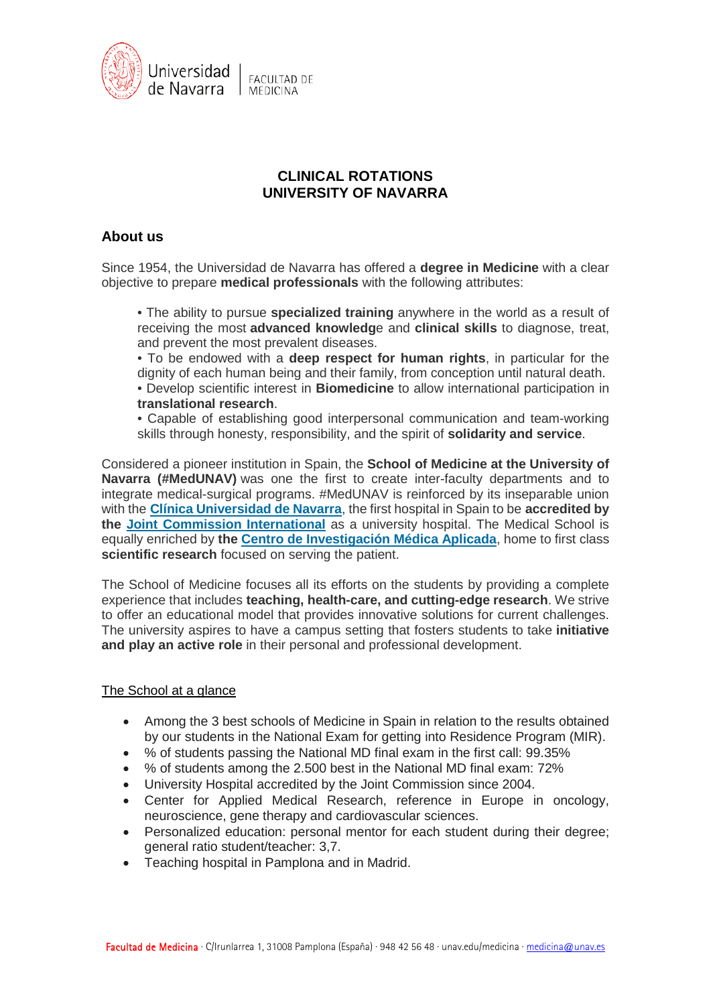

# **CLINICAL ROTATIONS UNIVERSITY OF NAVARRA**

# **About us**

Since 1954, the Universidad de Navarra has offered a **degree in Medicine** with a clear objective to prepare **medical professionals** with the following attributes:

• The ability to pursue **specialized training** anywhere in the world as a result of receiving the most **advanced knowledg**e and **clinical skills** to diagnose, treat, and prevent the most prevalent diseases.

• To be endowed with a **deep respect for human rights**, in particular for the dignity of each human being and their family, from conception until natural death. • Develop scientific interest in **Biomedicine** to allow international participation in **translational research**.

• Capable of establishing good interpersonal communication and team-working skills through honesty, responsibility, and the spirit of **solidarity and service**.

Considered a pioneer institution in Spain, the **School of Medicine at the University of Navarra (#MedUNAV)** was one the first to create inter-faculty departments and to integrate medical-surgical programs. #MedUNAV is reinforced by its inseparable union with the **[Clínica Universidad de Navarra](https://www.cun.es/)**, the first hospital in Spain to be **accredited by the [Joint Commission International](https://www.jointcommissioninternational.org/)** as a university hospital. The Medical School is equally enriched by **the [Centro de Investigación Médica Aplicada](https://cima.unav.edu/en/inicio)**, home to first class scientific research focused on serving the patient.

The School of Medicine focuses all its efforts on the students by providing a complete experience that includes **teaching, health-care, and cutting-edge research**. We strive to offer an educational model that provides innovative solutions for current challenges. The university aspires to have a campus setting that fosters students to take **initiative and play an active role** in their personal and professional development.

# The School at a glance

- Among the 3 best schools of Medicine in Spain in relation to the results obtained by our students in the National Exam for getting into Residence Program (MIR).
- % of students passing the National MD final exam in the first call: 99.35%
- % of students among the 2.500 best in the National MD final exam: 72%
- University Hospital accredited by the Joint Commission since 2004.
- Center for Applied Medical Research, reference in Europe in oncology, neuroscience, gene therapy and cardiovascular sciences.
- Personalized education: personal mentor for each student during their degree; general ratio student/teacher: 3,7.
- Teaching hospital in Pamplona and in Madrid.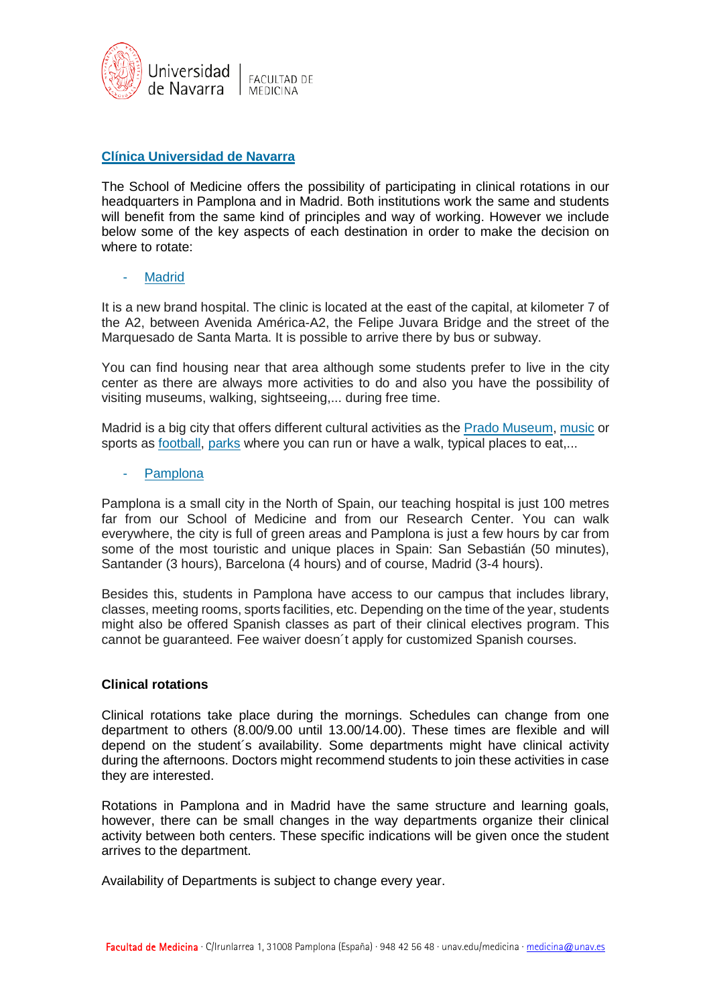

# **[Clínica Universidad de Navarra](https://www.cun.es/)**

The School of Medicine offers the possibility of participating in clinical rotations in our headquarters in Pamplona and in Madrid. Both institutions work the same and students will benefit from the same kind of principles and way of working. However we include below some of the key aspects of each destination in order to make the decision on where to rotate:

## **[Madrid](https://www.madrid.es/portal/site/munimadrid)**

It is a new brand hospital. The clinic is located at the east of the capital, at kilometer 7 of the A2, between Avenida América-A2, the Felipe Juvara Bridge and the street of the Marquesado de Santa Marta. It is possible to arrive there by bus or subway.

You can find housing near that area although some students prefer to live in the city center as there are always more activities to do and also you have the possibility of visiting museums, walking, sightseeing,... during free time.

Madrid is a big city that offers different cultural activities as the [Prado Museum,](https://www.museodelprado.es/) [music](https://www.teatro-real.com/es/?utm_source=MPC&utm_medium=cpc&utm_campaign=brandingsem&gclid=EAIaIQobChMIqvy1ku7L3QIVQoXVCh1aQg9KEAAYAiAAEgLoYvD_BwE) or sports as [football,](https://www.realmadrid.com/estadio-santiago-bernabeu) [parks](https://www.esmadrid.com/informacion-turistica/parque-del-retiro) where you can run or have a walk, typical places to eat,...

### **[Pamplona](https://www.unav.edu/en/web/conoce-la-universidad/visitanos/pamplona-viaje-unico)**

Pamplona is a small city in the North of Spain, our teaching hospital is just 100 metres far from our School of Medicine and from our Research Center. You can walk everywhere, the city is full of green areas and Pamplona is just a few hours by car from some of the most touristic and unique places in Spain: San Sebastián (50 minutes), Santander (3 hours), Barcelona (4 hours) and of course, Madrid (3-4 hours).

Besides this, students in Pamplona have access to our campus that includes library, classes, meeting rooms, sports facilities, etc. Depending on the time of the year, students might also be offered Spanish classes as part of their clinical electives program. This cannot be guaranteed. Fee waiver doesn´t apply for customized Spanish courses.

### **Clinical rotations**

Clinical rotations take place during the mornings. Schedules can change from one department to others (8.00/9.00 until 13.00/14.00). These times are flexible and will depend on the student´s availability. Some departments might have clinical activity during the afternoons. Doctors might recommend students to join these activities in case they are interested.

Rotations in Pamplona and in Madrid have the same structure and learning goals, however, there can be small changes in the way departments organize their clinical activity between both centers. These specific indications will be given once the student arrives to the department.

Availability of Departments is subject to change every year.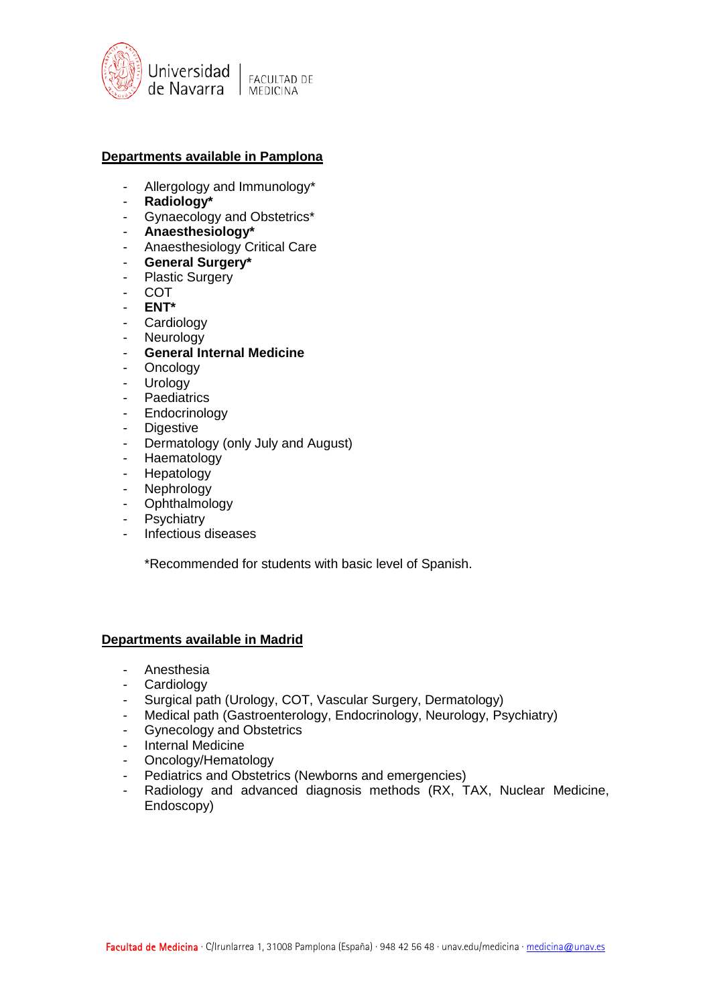

# **Departments available in Pamplona**

- Allergology and Immunology\*
- **Radiology\***
- Gynaecology and Obstetrics\*
- **Anaesthesiology\***
- Anaesthesiology Critical Care
- **General Surgery\***
- Plastic Surgery
- COT
- **ENT\***
- Cardiology
- Neurology
- **General Internal Medicine**
- Oncology
- Urology
- Paediatrics
- Endocrinology
- Digestive
- Dermatology (only July and August)
- Haematology
- Hepatology
- Nephrology
- Ophthalmology
- Psychiatry
- Infectious diseases

\*Recommended for students with basic level of Spanish.

### **Departments available in Madrid**

- Anesthesia
- Cardiology
- Surgical path (Urology, COT, Vascular Surgery, Dermatology)
- Medical path (Gastroenterology, Endocrinology, Neurology, Psychiatry)
- Gynecology and Obstetrics
- Internal Medicine
- Oncology/Hematology
- Pediatrics and Obstetrics (Newborns and emergencies)
- Radiology and advanced diagnosis methods (RX, TAX, Nuclear Medicine, Endoscopy)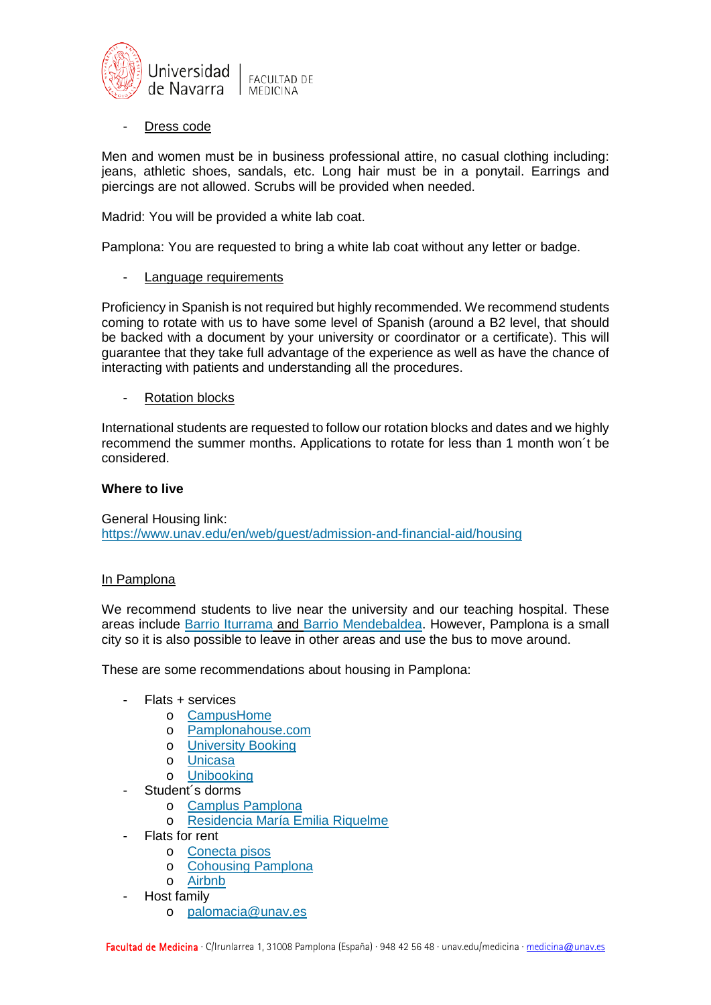

Dress code

Men and women must be in business professional attire, no casual clothing including: jeans, athletic shoes, sandals, etc. Long hair must be in a ponytail. Earrings and piercings are not allowed. Scrubs will be provided when needed.

Madrid: You will be provided a white lab coat.

Pamplona: You are requested to bring a white lab coat without any letter or badge.

Language requirements

Proficiency in Spanish is not required but highly recommended. We recommend students coming to rotate with us to have some level of Spanish (around a B2 level, that should be backed with a document by your university or coordinator or a certificate). This will guarantee that they take full advantage of the experience as well as have the chance of interacting with patients and understanding all the procedures.

**Rotation blocks** 

International students are requested to follow our rotation blocks and dates and we highly recommend the summer months. Applications to rotate for less than 1 month won´t be considered.

## **Where to live**

General Housing link: <https://www.unav.edu/en/web/guest/admission-and-financial-aid/housing>

# In Pamplona

We recommend students to live near the university and our teaching hospital. These areas include Barrio [Iturrama](https://www.google.com/maps/place/Barrio+Iturrama,+31007+Pamplona,+Navarra/@42.8053668,-1.6550817,16z/data=!3m1!4b1!4m5!3m4!1s0xd50925cf6aedba5:0xdb084ace143d2803!8m2!3d42.8061837!4d-1.6528694) and [Barrio Mendebaldea.](https://www.google.es/maps/place/Mendebaldea,+Pamplona,+Navarra/@42.8102205,-1.6787776,15z/data=!3m1!4b1!4m5!3m4!1s0xd50927bef4e3daf:0x4cdd1ec4ef290ded!8m2!3d42.809211!4d-1.6722716?hl=es) However, Pamplona is a small city so it is also possible to leave in other areas and use the bus to move around.

These are some recommendations about housing in Pamplona:

- Flats + services
	- o [CampusHome](http://www.campushome.es/)
	- o [Pamplonahouse.com](http://www.pamplonahouse.com/es/estancias-cortas-unav/)
	- o [University Booking](http://universitybooking.es/)
	- o [Unicasa](http://www.uni-casa.es/)
	- o [Unibooking](https://www.unibooking.es/)
	- Student's dorms
		- o [Camplus Pamplona](https://campluspamplona.es/)
		- o [Residencia María Emilia Riquelme](http://www.residenciariquelme.es/)
- Flats for rent
	- o [Conecta pisos](http://www.conectapisos.com/)
	- o [Cohousing Pamplona](http://www.cohousingpamplona.com/)
	- o [Airbnb](https://www.google.com/aclk?sa=l&ai=DChcSEwimr5SVvu3gAhXZmtUKHezdBtIYABAAGgJ3cw&sig=AOD64_2MPaFQ4rn0AsbCpvtmnf6Lhd1Bnw&q=&ved=2ahUKEwiWyY-Vvu3gAhUl3OAKHRSBAzkQ0Qx6BAgGEAE&adurl=)
	- Host family
		- o [palomacia@unav.es](mailto:palomacia@unav.es)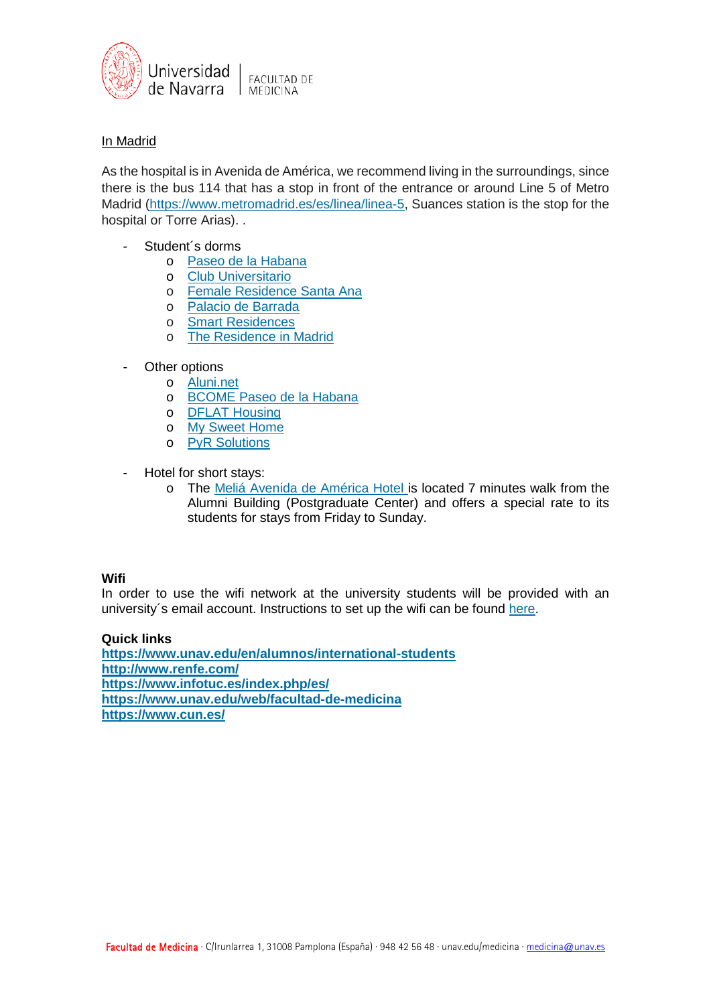

# In Madrid

As the hospital is in Avenida de América, we recommend living in the surroundings, since there is the bus 114 that has a stop in front of the entrance or around Line 5 of Metro Madrid [\(https://www.metromadrid.es/es/linea/linea-5,](https://www.metromadrid.es/es/linea/linea-5) Suances station is the stop for the hospital or Torre Arias). .

- Student´s dorms
	- o [Paseo de la Habana](https://www.resa.es/)
	- o [Club Universitario](https://club-universitario.es/)
	- o [Female Residence Santa Ana](http://www.residenciasantaana.com/)
	- o [Palacio de Barrada](https://palaciodebarradas.com/)
	- o [Smart Residences](https://smartresidences.es/)
	- o [The Residence in Madrid](https://www.theresidenceinmadrid.com/)
- Other options
	- o [Aluni.net](http://aluni.net/)
	- o [BCOME Paseo de la Habana](https://www.bcome.eu/bcome-paseo-de-la-habana/)
	- o [DFLAT Housing](http://www.dflathousing.com/centro/habitacion/220/residencia_la_palma)
	- o [My Sweet Home](http://mysweethome.es/)
	- o [PyR Solutions](http://pyr-solutions.com/)
- Hotel for short stays:
	- o The Meliá [Avenida de América Hotel](http://www.melia.com/es/hoteles/espana/madrid/melia-avenida-america/index.htm) is located 7 minutes walk from the Alumni Building (Postgraduate Center) and offers a special rate to its students for stays from Friday to Sunday.

## **Wifi**

In order to use the wifi network at the university students will be provided with an university´s email account. Instructions to set up the wifi can be found [here.](https://www.unav.edu/web/it/acceso-a-la-red)

## **Quick links**

**<https://www.unav.edu/en/alumnos/international-students> <http://www.renfe.com/> <https://www.infotuc.es/index.php/es/> <https://www.unav.edu/web/facultad-de-medicina> <https://www.cun.es/>**